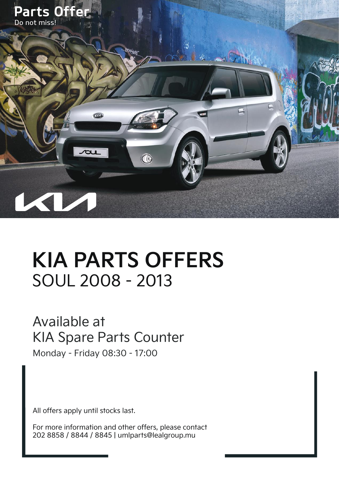

# **KIA PARTS OFFERS** SOUL 2008 - 2013

#### Available at KIA Spare Parts Counter

Monday - Friday 08:30 - 17:00

All offers apply until stocks last.

For more information and other offers, please contact 202 8858 / 8844 / 8845 | umlparts@lealgroup.mu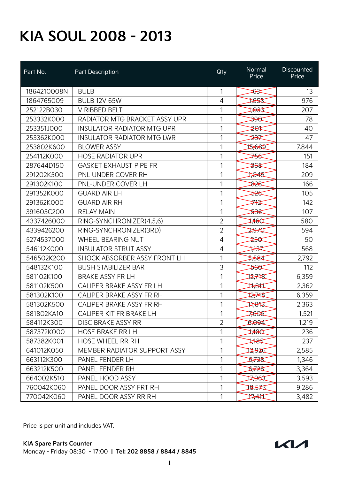| Part No.    | Part Description                    | Qty            | Normal<br>Price    | <b>Discounted</b><br>Price |
|-------------|-------------------------------------|----------------|--------------------|----------------------------|
| 1864210008N | <b>BULB</b>                         | 1              | <del>83</del>      | 13                         |
| 1864765009  | <b>BULB 12V 65W</b>                 | 4              | इटस्त              | 976                        |
| 252122B030  | V RIBBED BELT                       | 1              | स्क्ष्ट            | 207                        |
| 253332K000  | RADIATOR MTG BRACKET ASSY UPR       | 1              | ₩                  | 78                         |
| 253351J000  | <b>INSULATOR RADIATOR MTG UPR</b>   | 1              | ≱₩                 | 40                         |
| 253362K000  | <b>INSULATOR RADIATOR MTG LWR</b>   | 1              | <del>≫</del>       | 47                         |
| 253802K600  | <b>BLOWER ASSY</b>                  | 1              | 15,689             | 7,844                      |
| 254112K000  | <b>HOSE RADIATOR UPR</b>            | 1              | <del>≸≪</del>      | 151                        |
| 287644D150  | <b>GASKET EXHAUST PIPE FR</b>       | 1              | <del>368</del>     | 184                        |
| 291202K500  | PNL UNDER COVER RH                  | 1              | 1045               | 209                        |
| 291302K100  | PNL-UNDER COVER LH                  | 1              | ষ্ট≵               | 166                        |
| 291352K000  | <b>GUARD AIR LH</b>                 | 1              | ≫€                 | 105                        |
| 291362K000  | <b>GUARD AIR RH</b>                 | 1              | <del>≢∤</del>      | 142                        |
| 391603C200  | <b>RELAY MAIN</b>                   | 1              | <del>≫€</del>      | 107                        |
| 4337426000  | RING-SYNCHRONIZER(4,5,6)            | $\overline{2}$ | ‡¥€⊄               | 580                        |
| 4339426200  | RING-SYNCHRONIZER(3RD)              | $\overline{2}$ | 2,970              | 594                        |
| 5274537000  | <b>WHEEL BEARING NUT</b>            | 4              | <del>≥৪</del>      | 50                         |
| 546112K000  | <b>INSULATOR STRUT ASSY</b>         | 4              | ₩                  | 568                        |
| 546502K200  | SHOCK ABSORBER ASSY FRONT LH        | 1              | 5,584              | 2,792                      |
| 548132K100  | <b>BUSH STABILIZER BAR</b>          | 3              | <del>560</del>     | 112                        |
| 581102K100  | <b>BRAKE ASSY FR LH</b>             | 1              | 12,748             | 6,359                      |
| 581102K500  | CALIPER BRAKE ASSY FR LH            | 1              | 77,847             | 2,362                      |
| 581302K100  | CALIPER BRAKE ASSY FR RH            | 1              | 12,748             | 6,359                      |
| 581302K500  | CALIPER BRAKE ASSY FR RH            | 1              | ⊅क्षद्र            | 2,363                      |
| 581802KA10  | CALIPER KIT FR BRAKE LH             | 1              | 7665               | 1,521                      |
| 584112K300  | <b>DISC BRAKE ASSY RR</b>           | $\overline{2}$ | <b>DROGI</b>       | 1,219                      |
| 587372K000  | <b>HOSE BRAKE RR LH</b>             | 1              | $\sharp\ast\alpha$ | 236                        |
| 587382K001  | <b>HOSE WHEEL RR RH</b>             | 1              | **                 | 237                        |
| 641012K050  | <b>MEMBER RADIATOR SUPPORT ASSY</b> | 1              | 12,926             | 2,585                      |
| 663112K300  | PANEL FENDER LH                     | 1              | 5,728              | 1,346                      |
| 663212K500  | PANEL FENDER RH                     | 1              | 5,728              | 3,364                      |
| 664002K510  | PANEL HOOD ASSY                     | 1              | 77963              | 3,593                      |
| 760042K060  | PANEL DOOR ASSY FRT RH              | 1              | क्त्स्द्र          | 9,286                      |
| 770042K060  | PANEL DOOR ASSY RR RH               | 1              | 7741               | 3,482                      |

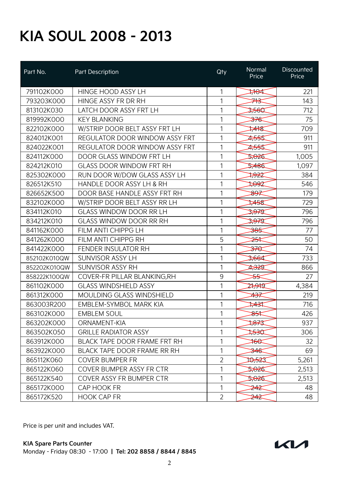| Part No.     | Part Description                      | Qty            | Normal<br>Price   | <b>Discounted</b><br>Price |
|--------------|---------------------------------------|----------------|-------------------|----------------------------|
| 791102K000   | HINGE HOOD ASSY LH                    | 1              | ₩₩                | 221                        |
| 793203K000   | HINGE ASSY FR DR RH                   | 1              | ⋙                 | 143                        |
| 813102K030   | LATCH DOOR ASSY FRT LH                | 1              | 3,560             | 712                        |
| 819992K000   | <b>KEY BLANKING</b>                   | 1              | <del>≫∕€</del>    | 75                         |
| 822102K000   | W/STRIP DOOR BELT ASSY FRT LH         | 1              | ≠¥\$              | 709                        |
| 824012K001   | <b>REGULATOR DOOR WINDOW ASSY FRT</b> | 1              | 2,555             | 911                        |
| 824022K001   | <b>REGULATOR DOOR WINDOW ASSY FRT</b> | 1              | 2,555             | 911                        |
| 824112K000   | DOOR GLASS WINDOW FRT LH              | 1              | 5,026             | 1,005                      |
| 824212K010   | <b>GLASS DOOR WINDOW FRT RH</b>       | 1              | 5,486             | 1,097                      |
| 825302K000   | RUN DOOR W/DOW GLASS ASSY LH          | 1              | ₩                 | 384                        |
| 826512K510   | HANDLE DOOR ASSY LH & RH              | 1              | 7092              | 546                        |
| 826652K500   | DOOR BASE HANDLE ASSY FRT RH          | 1              | ୫୫≉               | 179                        |
| 832102K000   | W/STRIP DOOR BELT ASSY RR LH          | 1              | $\frac{1}{2}$     | 729                        |
| 834112K010   | <b>GLASS WINDOW DOOR RR LH</b>        | 1              | <del>3,97</del> 9 | 796                        |
| 834212K010   | <b>GLASS WINDOW DOOR RR RH</b>        | 1              | 3,979             | 796                        |
| 841162K000   | FILM ANTI CHIPPG LH                   | 1              | <del>385</del>    | 77                         |
| 841262K000   | FILM ANTI CHIPPG RH                   | 5              | <del>≵⊀</del>     | 50                         |
| 841422K000   | <b>FENDER INSULATOR RH</b>            | 1              | <del>₩</del>      | 74                         |
| 852102K010QW | SUNVISOR ASSY LH                      | 1              | 3,664             | 733                        |
| 852202K010QW | <b>SUNVISOR ASSY RH</b>               | 1              | <del>4,32</del> 9 | 866                        |
| 858222K100QW | COVER-FR PILLAR BLANKING, RH          | 9              | <del>≳ح</del>     | 27                         |
| 861102K000   | <b>GLASS WINDSHIELD ASSY</b>          | 1              | 27,91T            | 4,384                      |
| 861312K000   | <b>MOULDING GLASS WINDSHIELD</b>      | 1              | ≄₩                | 219                        |
| 863003R200   | <b>EMBLEM-SYMBOL MARK KIA</b>         | 1              | ‡≄⊰‡              | 716                        |
| 863102K000   | <b>EMBLEM SOUL</b>                    | 1              | ₩                 | 426                        |
| 863202K000   | ORNAMENT-KIA                          | 1              | ‡87ंद्र           | 937                        |
| 863502K050   | <b>GRILLE RADIATOR ASSY</b>           | 1              | फुस्ट             | 306                        |
| 863912K000   | <b>BLACK TAPE DOOR FRAME FRT RH</b>   | 1              | $\ast\ast$        | 32                         |
| 863922K000   | BLACK TAPE DOOR FRAME RR RH           | 1              | <del>34€</del>    | 69                         |
| 865112K060   | <b>COVER BUMPER FR</b>                | $\overline{2}$ | 10,523            | 5,261                      |
| 865122K060   | COVER BUMPER ASSY FR CTR              | 1              | 5,026             | 2,513                      |
| 865122K540   | COVER ASSY FR BUMPER CTR              | 1              | 5,026             | 2,513                      |
| 865172K000   | CAP HOOK FR                           | 1              | ≱¥≳               | 48                         |
| 865172K520   | <b>HOOK CAP FR</b>                    | $\overline{2}$ | ≱4≵               | 48                         |

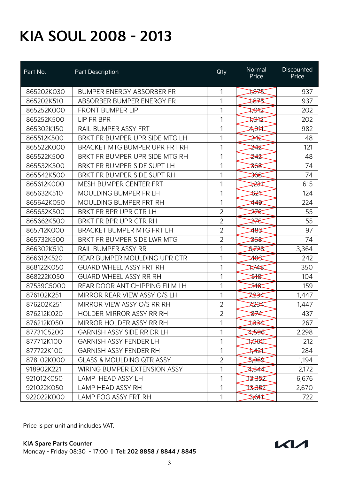| Part No.   | Part Description                     | Qty            | Normal<br>Price  | Discounted<br>Price |
|------------|--------------------------------------|----------------|------------------|---------------------|
| 865202K030 | <b>BUMPER ENERGY ABSORBER FR</b>     | 1              | ‡875             | 937                 |
| 865202K510 | ABSORBER BUMPER ENERGY FR            | 1              | ‡୫⊀\$            | 937                 |
| 865252K000 | <b>FRONT BUMPER LIP</b>              | 1              | ‡स्रद्           | 202                 |
| 865252K500 | LIP FR BPR                           | 1              | 7872             | 202                 |
| 865302K150 | RAIL BUMPER ASSY FRT                 | 1              | 7,91             | 982                 |
| 865512K500 | BRKT FR BUMPER UPR SIDE MTG LH       | 1              | ≱4≵              | 48                  |
| 865522K000 | BRACKET MTG BUMPER UPR FRT RH        | 1              | 242              | 121                 |
| 865522K500 | BRKT FR BUMPER UPR SIDE MTG RH       | 1              | ≱¥               | 48                  |
| 865532K500 | BRKT FR BUMPER SIDE SUPT LH          | 1              | <del>368</del>   | 74                  |
| 865542K500 | BRKT FR BUMPER SIDE SUPT RH          | 1              | <del>368</del>   | 74                  |
| 865612K000 | <b>MESH BUMPER CENTER FRT</b>        | $\mathbf{1}$   | ≫⊰               | 615                 |
| 865632K510 | MOULDING BUMPER FR LH                | 1              | <del>১∑</del>    | 124                 |
| 865642K050 | MOULDING BUMPER FRT RH               | 1              | 449              | 224                 |
| 865652K500 | BRKT FR BPR UPR CTR LH               | $\overline{2}$ | <del>276</del>   | 55                  |
| 865662K500 | BRKT FR BPR UPR CTR RH               | $\overline{2}$ | <del>≱∕€</del>   | 55                  |
| 865712K000 | BRACKET BUMPER MTG FRT LH            | $\overline{2}$ | 483              | 97                  |
| 865732K500 | BRKT FR BUMPER SIDE LWR MTG          | $\overline{2}$ | <del>368</del>   | 74                  |
| 866302K510 | RAIL BUMPER ASSY RR                  | 1              | \$728            | 3,364               |
| 866612K520 | REAR BUMPER MOULDING UPR CTR         | 1              | <del>483</del>   | 242                 |
| 868122K050 | <b>GUARD WHEEL ASSY FRT RH</b>       | 1              | ⊯≄इ              | 350                 |
| 868222K050 | <b>GUARD WHEEL ASSY RR RH</b>        | 1              | ≱ধ               | 104                 |
| 87539C5000 | REAR DOOR ANTICHIPPING FILM LH       | 1              | <del>ઋ</del>     | 159                 |
| 876102K251 | MIRROR REAR VIEW ASSY O/S LH         | 1              | <del>⊅≥3</del> 4 | 1,447               |
| 876202K251 | MIRROR VIEW ASSY O/S RR RH           | $\overline{2}$ | 7234             | 1,447               |
| 876212K020 | <b>HOLDER MIRROR ASSY RR RH</b>      | $\overline{2}$ | <del>87</del> ⊄  | 437                 |
| 876212K050 | MIRROR HOLDER ASSY RR RH             | 1              | ≫                | 267                 |
| 87731C5200 | <b>GARNISH ASSY SIDE RR DR LH</b>    | 1              | 2596             | 2,298               |
| 877712K100 | <b>GARNISH ASSY FENDER LH</b>        | 1              | $\frac{1}{2000}$ | 212                 |
| 877722K100 | <b>GARNISH ASSY FENDER RH</b>        | 1              | ≭¥≭              | 284                 |
| 878102K000 | <b>GLASS &amp; MOULDING QTR ASSY</b> | $\overline{2}$ | 2965             | 1,194               |
| 918902K221 | WIRING BUMPER EXTENSION ASSY         | 1              | 4344             | 2,172               |
| 921012K050 | LAMP HEAD ASSY LH                    | 1              | 13,352           | 6,676               |
| 921022K050 | <b>LAMP HEAD ASSY RH</b>             | 1              | ⊅୫€Σ             | 2,670               |
| 922022K000 | LAMP FOG ASSY FRT RH                 | 1              | <del>3,61</del>  | 722                 |